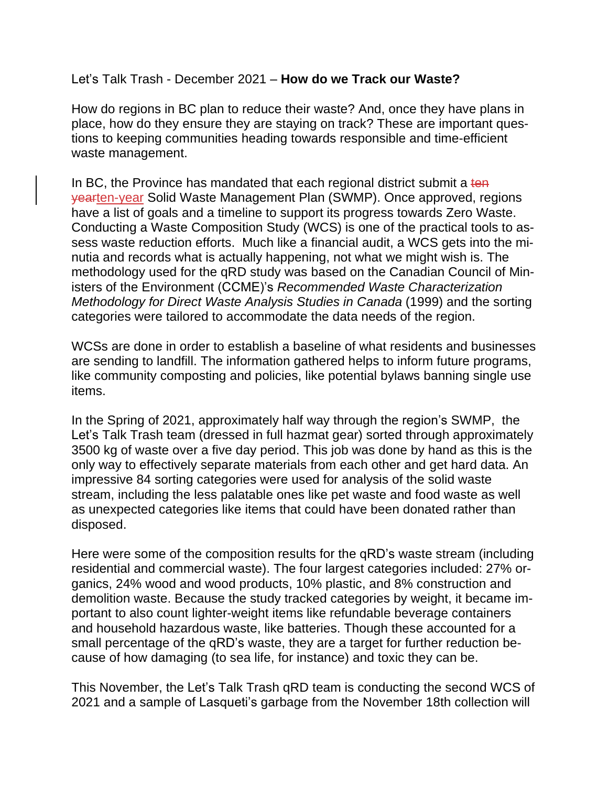#### Let's Talk Trash - December 2021 – **How do we Track our Waste?**

How do regions in BC plan to reduce their waste? And, once they have plans in place, how do they ensure they are staying on track? These are important questions to keeping communities heading towards responsible and time-efficient waste management.

In BC, the Province has mandated that each regional district submit a ten yearten-year Solid Waste Management Plan (SWMP). Once approved, regions have a list of goals and a timeline to support its progress towards Zero Waste. Conducting a Waste Composition Study (WCS) is one of the practical tools to assess waste reduction efforts. Much like a financial audit, a WCS gets into the minutia and records what is actually happening, not what we might wish is. The methodology used for the qRD study was based on the Canadian Council of Ministers of the Environment (CCME)'s *Recommended Waste Characterization Methodology for Direct Waste Analysis Studies in Canada* (1999) and the sorting categories were tailored to accommodate the data needs of the region.

WCSs are done in order to establish a baseline of what residents and businesses are sending to landfill. The information gathered helps to inform future programs, like community composting and policies, like potential bylaws banning single use items.

In the Spring of 2021, approximately half way through the region's SWMP, the Let's Talk Trash team (dressed in full hazmat gear) sorted through approximately 3500 kg of waste over a five day period. This job was done by hand as this is the only way to effectively separate materials from each other and get hard data. An impressive 84 sorting categories were used for analysis of the solid waste stream, including the less palatable ones like pet waste and food waste as well as unexpected categories like items that could have been donated rather than disposed.

Here were some of the composition results for the qRD's waste stream (including residential and commercial waste). The four largest categories included: 27% organics, 24% wood and wood products, 10% plastic, and 8% construction and demolition waste. Because the study tracked categories by weight, it became important to also count lighter-weight items like refundable beverage containers and household hazardous waste, like batteries. Though these accounted for a small percentage of the qRD's waste, they are a target for further reduction because of how damaging (to sea life, for instance) and toxic they can be.

This November, the Let's Talk Trash qRD team is conducting the second WCS of 2021 and a sample of Lasqueti's garbage from the November 18th collection will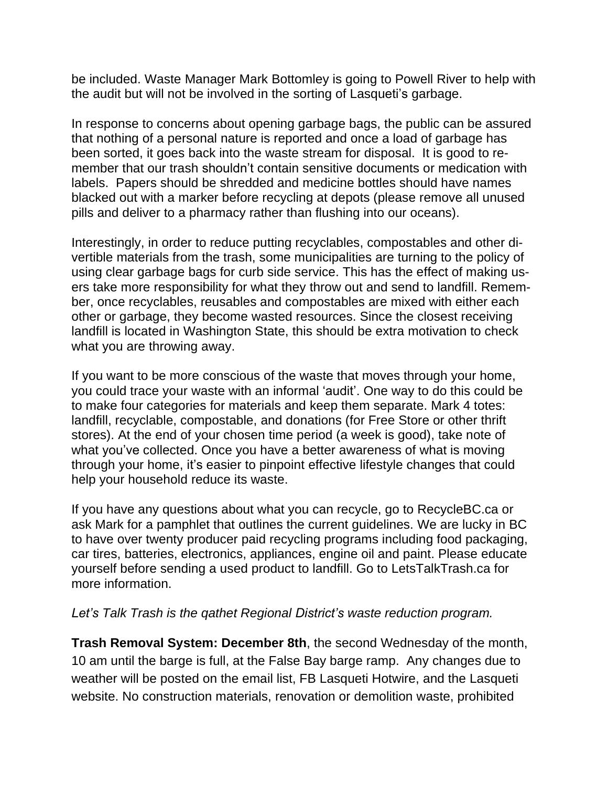be included. Waste Manager Mark Bottomley is going to Powell River to help with the audit but will not be involved in the sorting of Lasqueti's garbage.

In response to concerns about opening garbage bags, the public can be assured that nothing of a personal nature is reported and once a load of garbage has been sorted, it goes back into the waste stream for disposal. It is good to remember that our trash shouldn't contain sensitive documents or medication with labels. Papers should be shredded and medicine bottles should have names blacked out with a marker before recycling at depots (please remove all unused pills and deliver to a pharmacy rather than flushing into our oceans).

Interestingly, in order to reduce putting recyclables, compostables and other divertible materials from the trash, some municipalities are turning to the policy of using clear garbage bags for curb side service. This has the effect of making users take more responsibility for what they throw out and send to landfill. Remember, once recyclables, reusables and compostables are mixed with either each other or garbage, they become wasted resources. Since the closest receiving landfill is located in Washington State, this should be extra motivation to check what you are throwing away.

If you want to be more conscious of the waste that moves through your home, you could trace your waste with an informal 'audit'. One way to do this could be to make four categories for materials and keep them separate. Mark 4 totes: landfill, recyclable, compostable, and donations (for Free Store or other thrift stores). At the end of your chosen time period (a week is good), take note of what you've collected. Once you have a better awareness of what is moving through your home, it's easier to pinpoint effective lifestyle changes that could help your household reduce its waste.

If you have any questions about what you can recycle, go to RecycleBC.ca or ask Mark for a pamphlet that outlines the current guidelines. We are lucky in BC to have over twenty producer paid recycling programs including food packaging, car tires, batteries, electronics, appliances, engine oil and paint. Please educate yourself before sending a used product to landfill. Go to LetsTalkTrash.ca for more information.

#### *Let's Talk Trash is the qathet Regional District's waste reduction program.*

**Trash Removal System: December 8th**, the second Wednesday of the month, 10 am until the barge is full, at the False Bay barge ramp. Any changes due to weather will be posted on the email list, FB Lasqueti Hotwire, and the Lasqueti website. No construction materials, renovation or demolition waste, prohibited